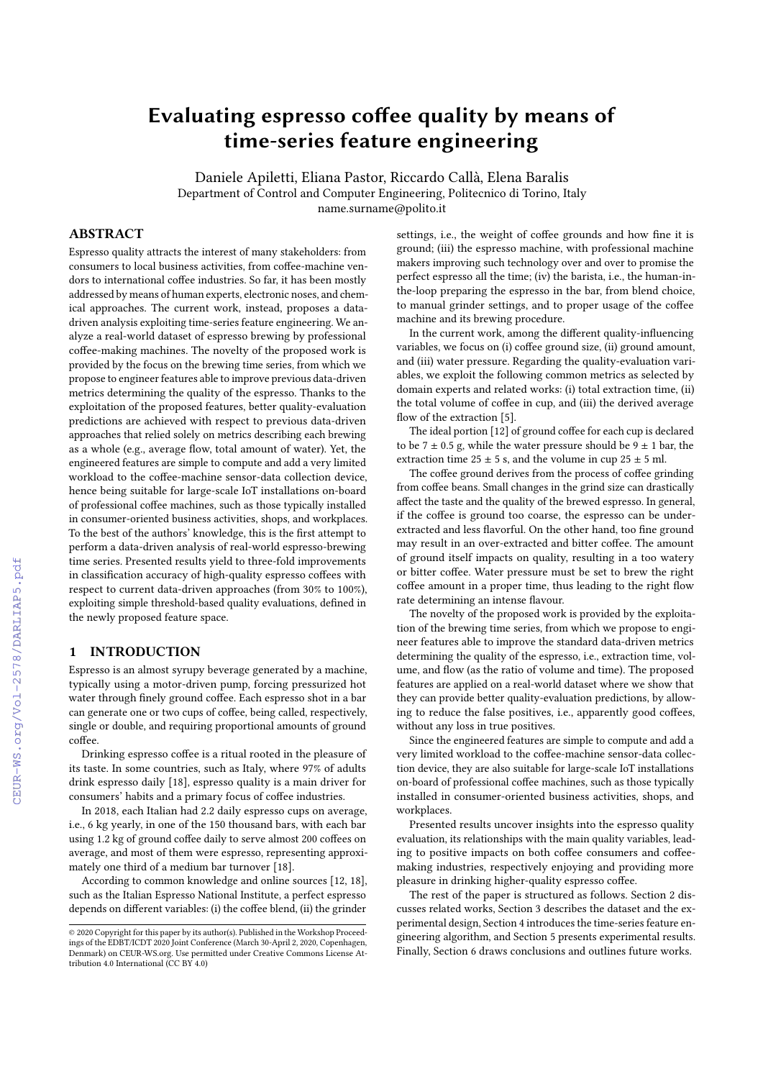# Evaluating espresso coffee quality by means of time-series feature engineering

Daniele Apiletti, Eliana Pastor, Riccardo Callà, Elena Baralis

Department of Control and Computer Engineering, Politecnico di Torino, Italy name.surname@polito.it

## ABSTRACT

Espresso quality attracts the interest of many stakeholders: from consumers to local business activities, from coffee-machine vendors to international coffee industries. So far, it has been mostly addressed by means of human experts, electronic noses, and chemical approaches. The current work, instead, proposes a datadriven analysis exploiting time-series feature engineering. We analyze a real-world dataset of espresso brewing by professional coffee-making machines. The novelty of the proposed work is provided by the focus on the brewing time series, from which we propose to engineer features able to improve previous data-driven metrics determining the quality of the espresso. Thanks to the exploitation of the proposed features, better quality-evaluation predictions are achieved with respect to previous data-driven approaches that relied solely on metrics describing each brewing as a whole (e.g., average flow, total amount of water). Yet, the engineered features are simple to compute and add a very limited workload to the coffee-machine sensor-data collection device, hence being suitable for large-scale IoT installations on-board of professional coffee machines, such as those typically installed in consumer-oriented business activities, shops, and workplaces. To the best of the authors' knowledge, this is the first attempt to perform a data-driven analysis of real-world espresso-brewing time series. Presented results yield to three-fold improvements in classification accuracy of high-quality espresso coffees with respect to current data-driven approaches (from 30% to 100%), exploiting simple threshold-based quality evaluations, defined in the newly proposed feature space.

## 1 INTRODUCTION

Espresso is an almost syrupy beverage generated by a machine, typically using a motor-driven pump, forcing pressurized hot water through finely ground coffee. Each espresso shot in a bar can generate one or two cups of coffee, being called, respectively, single or double, and requiring proportional amounts of ground coffee.

Drinking espresso coffee is a ritual rooted in the pleasure of its taste. In some countries, such as Italy, where 97% of adults drink espresso daily [\[18\]](#page--1-0), espresso quality is a main driver for consumers' habits and a primary focus of coffee industries.

In 2018, each Italian had 2.2 daily espresso cups on average, i.e., 6 kg yearly, in one of the 150 thousand bars, with each bar using 1.2 kg of ground coffee daily to serve almost 200 coffees on average, and most of them were espresso, representing approximately one third of a medium bar turnover [\[18\]](#page--1-0).

According to common knowledge and online sources [\[12,](#page--1-1) [18\]](#page--1-0), such as the Italian Espresso National Institute, a perfect espresso depends on different variables: (i) the coffee blend, (ii) the grinder

settings, i.e., the weight of coffee grounds and how fine it is ground; (iii) the espresso machine, with professional machine makers improving such technology over and over to promise the perfect espresso all the time; (iv) the barista, i.e., the human-inthe-loop preparing the espresso in the bar, from blend choice, to manual grinder settings, and to proper usage of the coffee machine and its brewing procedure.

In the current work, among the different quality-influencing variables, we focus on (i) coffee ground size, (ii) ground amount, and (iii) water pressure. Regarding the quality-evaluation variables, we exploit the following common metrics as selected by domain experts and related works: (i) total extraction time, (ii) the total volume of coffee in cup, and (iii) the derived average flow of the extraction [\[5\]](#page--1-2).

The ideal portion [\[12\]](#page--1-1) of ground coffee for each cup is declared to be  $7 \pm 0.5$  g, while the water pressure should be  $9 \pm 1$  bar, the extraction time  $25 \pm 5$  s, and the volume in cup  $25 \pm 5$  ml.

The coffee ground derives from the process of coffee grinding from coffee beans. Small changes in the grind size can drastically affect the taste and the quality of the brewed espresso. In general, if the coffee is ground too coarse, the espresso can be underextracted and less flavorful. On the other hand, too fine ground may result in an over-extracted and bitter coffee. The amount of ground itself impacts on quality, resulting in a too watery or bitter coffee. Water pressure must be set to brew the right coffee amount in a proper time, thus leading to the right flow rate determining an intense flavour.

The novelty of the proposed work is provided by the exploitation of the brewing time series, from which we propose to engineer features able to improve the standard data-driven metrics determining the quality of the espresso, i.e., extraction time, volume, and flow (as the ratio of volume and time). The proposed features are applied on a real-world dataset where we show that they can provide better quality-evaluation predictions, by allowing to reduce the false positives, i.e., apparently good coffees, without any loss in true positives.

Since the engineered features are simple to compute and add a very limited workload to the coffee-machine sensor-data collection device, they are also suitable for large-scale IoT installations on-board of professional coffee machines, such as those typically installed in consumer-oriented business activities, shops, and workplaces.

Presented results uncover insights into the espresso quality evaluation, its relationships with the main quality variables, leading to positive impacts on both coffee consumers and coffeemaking industries, respectively enjoying and providing more pleasure in drinking higher-quality espresso coffee.

The rest of the paper is structured as follows. Section [2](#page--1-3) discusses related works, Section [3](#page--1-4) describes the dataset and the experimental design, Section [4](#page--1-5) introduces the time-series feature engineering algorithm, and Section [5](#page--1-6) presents experimental results. Finally, Section [6](#page--1-7) draws conclusions and outlines future works.

<sup>©</sup> 2020 Copyright for this paper by its author(s). Published in the Workshop Proceed-ings of the EDBT/ICDT 2020 Joint Conference (March 30-April 2, 2020, Copenhagen, Denmark) on CEUR-WS.org. Use permitted under Creative Commons License Attribution 4.0 International (CC BY 4.0)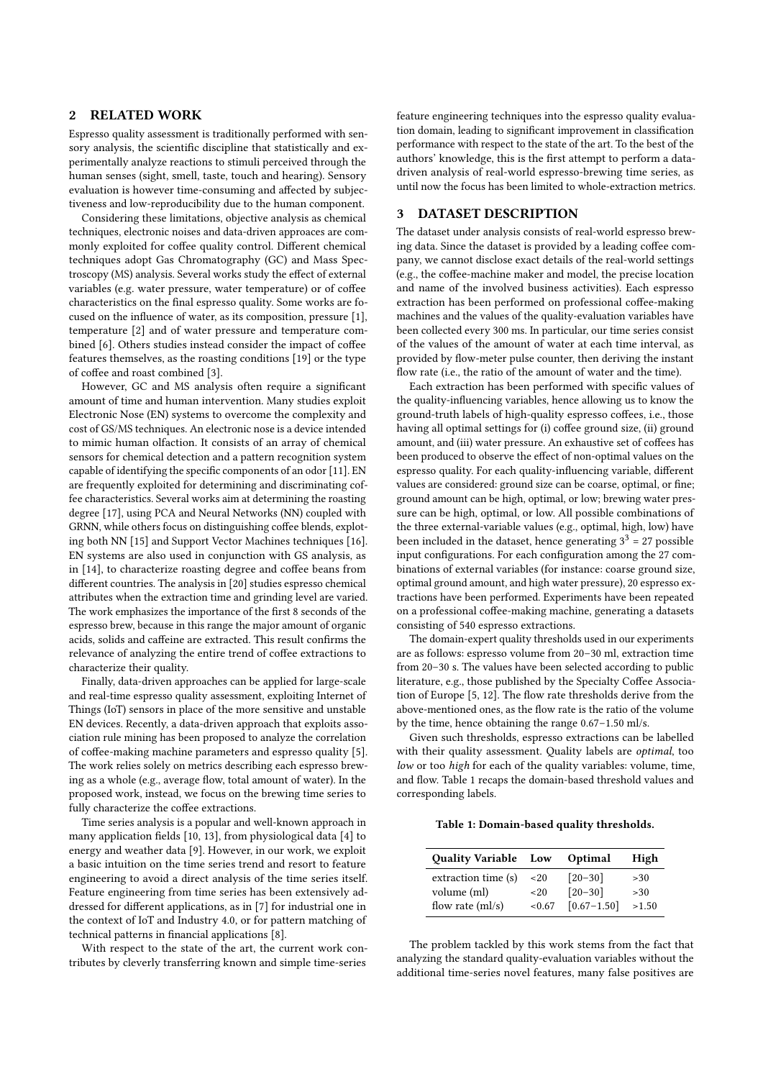## 2 RELATED WORK

Espresso quality assessment is traditionally performed with sensory analysis, the scientific discipline that statistically and experimentally analyze reactions to stimuli perceived through the human senses (sight, smell, taste, touch and hearing). Sensory evaluation is however time-consuming and affected by subjectiveness and low-reproducibility due to the human component.

Considering these limitations, objective analysis as chemical techniques, electronic noises and data-driven approaces are commonly exploited for coffee quality control. Different chemical techniques adopt Gas Chromatography (GC) and Mass Spectroscopy (MS) analysis. Several works study the effect of external variables (e.g. water pressure, water temperature) or of coffee characteristics on the final espresso quality. Some works are focused on the influence of water, as its composition, pressure [\[1\]](#page-5-0), temperature [\[2\]](#page-5-1) and of water pressure and temperature combined [\[6\]](#page-5-2). Others studies instead consider the impact of coffee features themselves, as the roasting conditions [\[19\]](#page-5-3) or the type of coffee and roast combined [\[3\]](#page-5-4).

However, GC and MS analysis often require a significant amount of time and human intervention. Many studies exploit Electronic Nose (EN) systems to overcome the complexity and cost of GS/MS techniques. An electronic nose is a device intended to mimic human olfaction. It consists of an array of chemical sensors for chemical detection and a pattern recognition system capable of identifying the specific components of an odor [\[11\]](#page-5-5). EN are frequently exploited for determining and discriminating coffee characteristics. Several works aim at determining the roasting degree [\[17\]](#page-5-6), using PCA and Neural Networks (NN) coupled with GRNN, while others focus on distinguishing coffee blends, exploting both NN [\[15\]](#page-5-7) and Support Vector Machines techniques [\[16\]](#page-5-8). EN systems are also used in conjunction with GS analysis, as in [\[14\]](#page-5-9), to characterize roasting degree and coffee beans from different countries. The analysis in [\[20\]](#page-5-10) studies espresso chemical attributes when the extraction time and grinding level are varied. The work emphasizes the importance of the first 8 seconds of the espresso brew, because in this range the major amount of organic acids, solids and caffeine are extracted. This result confirms the relevance of analyzing the entire trend of coffee extractions to characterize their quality.

Finally, data-driven approaches can be applied for large-scale and real-time espresso quality assessment, exploiting Internet of Things (IoT) sensors in place of the more sensitive and unstable EN devices. Recently, a data-driven approach that exploits association rule mining has been proposed to analyze the correlation of coffee-making machine parameters and espresso quality [\[5\]](#page-5-11). The work relies solely on metrics describing each espresso brewing as a whole (e.g., average flow, total amount of water). In the proposed work, instead, we focus on the brewing time series to fully characterize the coffee extractions.

Time series analysis is a popular and well-known approach in many application fields [\[10,](#page-5-12) [13\]](#page-5-13), from physiological data [\[4\]](#page-5-14) to energy and weather data [\[9\]](#page-5-15). However, in our work, we exploit a basic intuition on the time series trend and resort to feature engineering to avoid a direct analysis of the time series itself. Feature engineering from time series has been extensively addressed for different applications, as in [\[7\]](#page-5-16) for industrial one in the context of IoT and Industry 4.0, or for pattern matching of technical patterns in financial applications [\[8\]](#page-5-17).

With respect to the state of the art, the current work contributes by cleverly transferring known and simple time-series

feature engineering techniques into the espresso quality evaluation domain, leading to significant improvement in classification performance with respect to the state of the art. To the best of the authors' knowledge, this is the first attempt to perform a datadriven analysis of real-world espresso-brewing time series, as until now the focus has been limited to whole-extraction metrics.

## 3 DATASET DESCRIPTION

The dataset under analysis consists of real-world espresso brewing data. Since the dataset is provided by a leading coffee company, we cannot disclose exact details of the real-world settings (e.g., the coffee-machine maker and model, the precise location and name of the involved business activities). Each espresso extraction has been performed on professional coffee-making machines and the values of the quality-evaluation variables have been collected every 300 ms. In particular, our time series consist of the values of the amount of water at each time interval, as provided by flow-meter pulse counter, then deriving the instant flow rate (i.e., the ratio of the amount of water and the time).

Each extraction has been performed with specific values of the quality-influencing variables, hence allowing us to know the ground-truth labels of high-quality espresso coffees, i.e., those having all optimal settings for (i) coffee ground size, (ii) ground amount, and (iii) water pressure. An exhaustive set of coffees has been produced to observe the effect of non-optimal values on the espresso quality. For each quality-influencing variable, different values are considered: ground size can be coarse, optimal, or fine; ground amount can be high, optimal, or low; brewing water pressure can be high, optimal, or low. All possible combinations of the three external-variable values (e.g., optimal, high, low) have been included in the dataset, hence generating  $3^3 = 27$  possible input configurations. For each configuration among the 27 combinations of external variables (for instance: coarse ground size, optimal ground amount, and high water pressure), 20 espresso extractions have been performed. Experiments have been repeated on a professional coffee-making machine, generating a datasets consisting of 540 espresso extractions.

The domain-expert quality thresholds used in our experiments are as follows: espresso volume from 20–30 ml, extraction time from 20–30 s. The values have been selected according to public literature, e.g., those published by the Specialty Coffee Association of Europe [\[5,](#page-5-11) [12\]](#page-5-18). The flow rate thresholds derive from the above-mentioned ones, as the flow rate is the ratio of the volume by the time, hence obtaining the range 0.67–1.50 ml/s.

Given such thresholds, espresso extractions can be labelled with their quality assessment. Quality labels are *optimal*, too low or too high for each of the quality variables: volume, time, and flow. Table [1](#page-1-0) recaps the domain-based threshold values and corresponding labels.

<span id="page-1-0"></span>Table 1: Domain-based quality thresholds.

| Quality Variable Low               |              | Optimal                | High       |
|------------------------------------|--------------|------------------------|------------|
| extraction time (s)<br>volume (ml) | ~120<br>~120 | $[20-30]$<br>$[20-30]$ | >30<br>>30 |
| flow rate $(ml/s)$                 | <0.67        | $[0.67 - 1.50]$        | >1.50      |

The problem tackled by this work stems from the fact that analyzing the standard quality-evaluation variables without the additional time-series novel features, many false positives are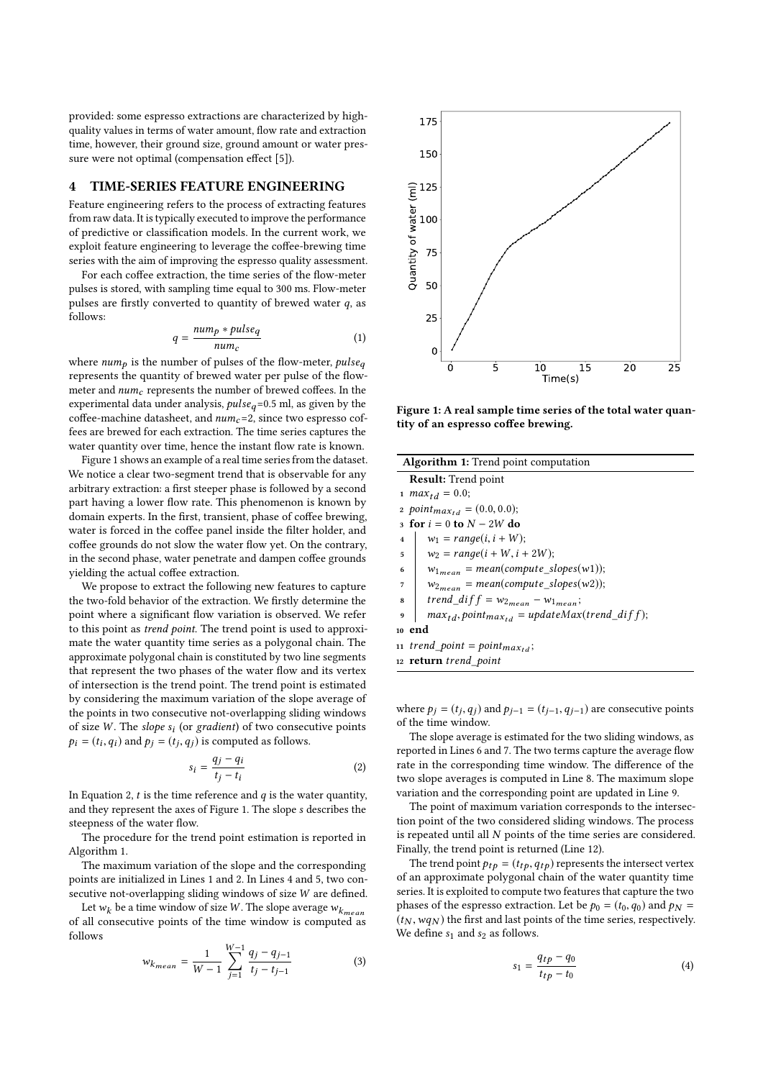provided: some espresso extractions are characterized by highquality values in terms of water amount, flow rate and extraction time, however, their ground size, ground amount or water pressure were not optimal (compensation effect [\[5\]](#page-5-11)).

#### 4 TIME-SERIES FEATURE ENGINEERING

Feature engineering refers to the process of extracting features from raw data. It is typically executed to improve the performance of predictive or classification models. In the current work, we exploit feature engineering to leverage the coffee-brewing time series with the aim of improving the espresso quality assessment.

For each coffee extraction, the time series of the flow-meter pulses is stored, with sampling time equal to 300 ms. Flow-meter pulses are firstly converted to quantity of brewed water  $q$ , as follows:

$$
q = \frac{num_p * pulse_q}{num_c} \tag{1}
$$

where  $num_p$  is the number of pulses of the flow-meter,  $pulse_q$ <br>represents the quantity of brewed water per pulse of the flow represents the quantity of brewed water per pulse of the flowmeter and  $num_c$  represents the number of brewed coffees. In the experimental data under analysis,  $pulse_q=0.5$  ml, as given by the coffee-machine datasheet, and  $num_c=2$ , since two espresso coffees are brewed for each extraction. The time series captures the water quantity over time, hence the instant flow rate is known.

Figure [1](#page-2-0) shows an example of a real time series from the dataset. We notice a clear two-segment trend that is observable for any arbitrary extraction: a first steeper phase is followed by a second part having a lower flow rate. This phenomenon is known by domain experts. In the first, transient, phase of coffee brewing, water is forced in the coffee panel inside the filter holder, and coffee grounds do not slow the water flow yet. On the contrary, in the second phase, water penetrate and dampen coffee grounds yielding the actual coffee extraction.

We propose to extract the following new features to capture the two-fold behavior of the extraction. We firstly determine the point where a significant flow variation is observed. We refer to this point as trend point. The trend point is used to approximate the water quantity time series as a polygonal chain. The approximate polygonal chain is constituted by two line segments that represent the two phases of the water flow and its vertex of intersection is the trend point. The trend point is estimated by considering the maximum variation of the slope average of the points in two consecutive not-overlapping sliding windows of size W. The *slope*  $s_i$  (or *gradient*) of two consecutive points<br> $\mathbf{a}_i = (t_i, a_i)$  and  $\mathbf{a}_i = (t_i, a_i)$  is computed as follows  $p_i = (t_i, q_i)$  and  $p_j = (t_j, q_j)$  is computed as follows.

<span id="page-2-1"></span>
$$
s_i = \frac{q_j - q_i}{t_j - t_i} \tag{2}
$$

In Equation [2,](#page-2-1)  $t$  is the time reference and  $q$  is the water quantity, and they represent the axes of Figure [1.](#page-2-0) The slope s describes the steepness of the water flow.

The procedure for the trend point estimation is reported in Algorithm [1.](#page-2-2)

The maximum variation of the slope and the corresponding points are initialized in Lines [1](#page-2-3) and [2.](#page-2-4) In Lines [4](#page-2-5) and [5,](#page-2-6) two consecutive not-overlapping sliding windows of size W are defined.

Let  $w_k$  be a time window of size W. The slope average  $w_{k_{mean}}$ of all consecutive points of the time window is computed as follows

$$
w_{k_{mean}} = \frac{1}{W - 1} \sum_{j=1}^{W - 1} \frac{q_j - q_{j-1}}{t_j - t_{j-1}}
$$
(3)

<span id="page-2-0"></span>

Figure 1: A real sample time series of the total water quantity of an espresso coffee brewing.

<span id="page-2-8"></span><span id="page-2-7"></span><span id="page-2-6"></span><span id="page-2-5"></span><span id="page-2-4"></span><span id="page-2-3"></span>

| <b>Algorithm 1:</b> Trend point computation                                   |  |  |
|-------------------------------------------------------------------------------|--|--|
| <b>Result:</b> Trend point                                                    |  |  |
| 1 <i>max</i> <sub>td</sub> = 0.0;                                             |  |  |
| 2 point <sub>max<sub>td</sub></sub> = $(0.0, 0.0)$ ;                          |  |  |
| 3 for $i = 0$ to $N - 2W$ do                                                  |  |  |
| $w_1 = range(i, i + W);$<br>$\overline{\mathbf{4}}$                           |  |  |
| $w_2 = range(i + W, i + 2W);$<br>5                                            |  |  |
| $w_{1_{mean}} = mean(compute\_slopes(w1));$<br>6                              |  |  |
| $w_{2mean} = mean(compute\_slopes(w2));$<br>7                                 |  |  |
| trend_dif $f = w_{2mean} - w_{1mean}$ ;<br>8                                  |  |  |
| $max_{td}$ , point <sub>max<sub>td</sub></sub> = updateMax(trend_dif f);<br>9 |  |  |
| 10 end                                                                        |  |  |
| 11 trend_point = $point_{max_{td}}$ ;                                         |  |  |
| 12 <b>return</b> trend point                                                  |  |  |
|                                                                               |  |  |

<span id="page-2-11"></span><span id="page-2-10"></span><span id="page-2-9"></span><span id="page-2-2"></span>where  $p_j = (t_j, q_j)$  and  $p_{j-1} = (t_{j-1}, q_{j-1})$  are consecutive points of the time window. of the time window.

The slope average is estimated for the two sliding windows, as reported in Lines [6](#page-2-7) and [7.](#page-2-8) The two terms capture the average flow rate in the corresponding time window. The difference of the two slope averages is computed in Line [8.](#page-2-9) The maximum slope variation and the corresponding point are updated in Line [9.](#page-2-10)

The point of maximum variation corresponds to the intersection point of the two considered sliding windows. The process is repeated until all N points of the time series are considered. Finally, the trend point is returned (Line [12\)](#page-2-11).

The trend point  $p_{tp} = (t_{tp}, q_{tp})$  represents the intersect vertex of an approximate polygonal chain of the water quantity time series. It is exploited to compute two features that capture the two phases of the espresso extraction. Let be  $p_0 = (t_0, q_0)$  and  $p_N =$  $(t_N, wq_N)$  the first and last points of the time series, respectively. We define  $s_1$  and  $s_2$  as follows.

$$
s_1 = \frac{q_{tp} - q_0}{t_{tp} - t_0} \tag{4}
$$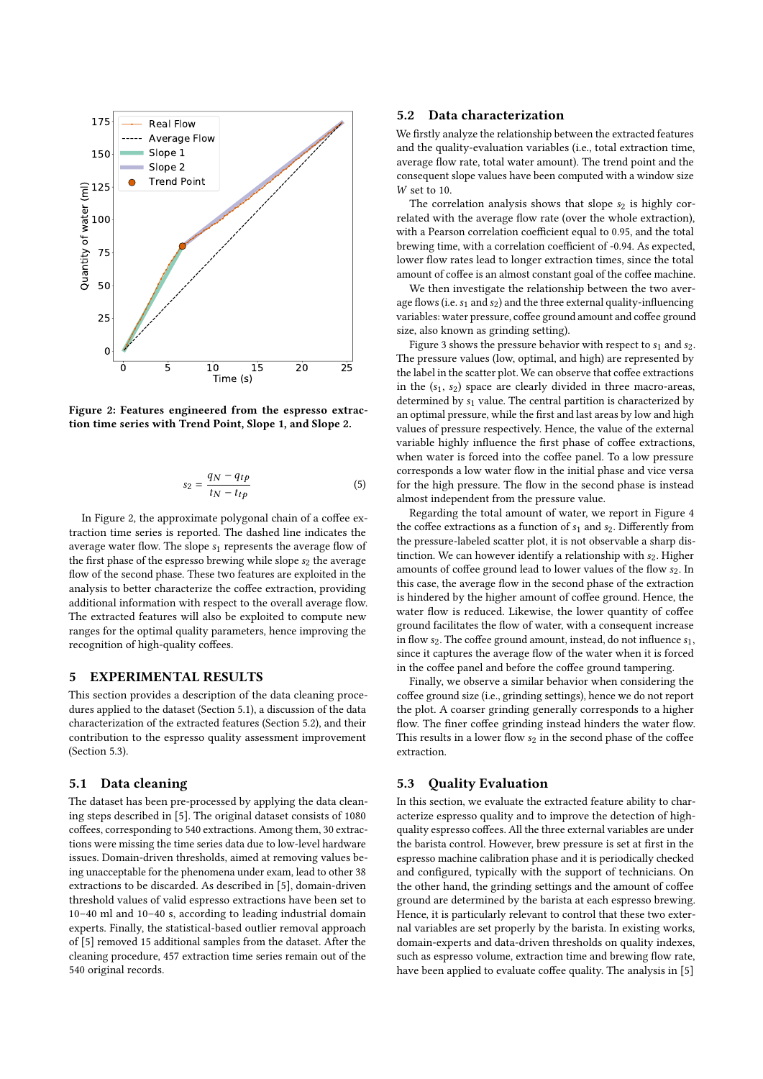<span id="page-3-0"></span>

Figure 2: Features engineered from the espresso extraction time series with Trend Point, Slope 1, and Slope 2.

$$
s_2 = \frac{q_N - q_{tp}}{t_N - t_{tp}}\tag{5}
$$

In Figure [2,](#page-3-0) the approximate polygonal chain of a coffee extraction time series is reported. The dashed line indicates the average water flow. The slope  $s_1$  represents the average flow of the first phase of the espresso brewing while slope  $s_2$  the average flow of the second phase. These two features are exploited in the analysis to better characterize the coffee extraction, providing additional information with respect to the overall average flow. The extracted features will also be exploited to compute new ranges for the optimal quality parameters, hence improving the recognition of high-quality coffees.

## 5 EXPERIMENTAL RESULTS

This section provides a description of the data cleaning procedures applied to the dataset (Section [5.1\)](#page-3-1), a discussion of the data characterization of the extracted features (Section [5.2\)](#page-3-2), and their contribution to the espresso quality assessment improvement (Section [5.3\)](#page-3-3).

#### <span id="page-3-1"></span>5.1 Data cleaning

The dataset has been pre-processed by applying the data cleaning steps described in [\[5\]](#page-5-11). The original dataset consists of 1080 coffees, corresponding to 540 extractions. Among them, 30 extractions were missing the time series data due to low-level hardware issues. Domain-driven thresholds, aimed at removing values being unacceptable for the phenomena under exam, lead to other 38 extractions to be discarded. As described in [\[5\]](#page-5-11), domain-driven threshold values of valid espresso extractions have been set to 10–40 ml and 10–40 s, according to leading industrial domain experts. Finally, the statistical-based outlier removal approach of [\[5\]](#page-5-11) removed 15 additional samples from the dataset. After the cleaning procedure, 457 extraction time series remain out of the 540 original records.

#### <span id="page-3-2"></span>5.2 Data characterization

We firstly analyze the relationship between the extracted features and the quality-evaluation variables (i.e., total extraction time, average flow rate, total water amount). The trend point and the consequent slope values have been computed with a window size W set to 10.

The correlation analysis shows that slope  $s_2$  is highly correlated with the average flow rate (over the whole extraction), with a Pearson correlation coefficient equal to 0.95, and the total brewing time, with a correlation coefficient of -0.94. As expected, lower flow rates lead to longer extraction times, since the total amount of coffee is an almost constant goal of the coffee machine.

We then investigate the relationship between the two average flows (i.e.  $s_1$  and  $s_2$ ) and the three external quality-influencing variables: water pressure, coffee ground amount and coffee ground size, also known as grinding setting).

Figure [3](#page-4-0) shows the pressure behavior with respect to  $s_1$  and  $s_2$ . The pressure values (low, optimal, and high) are represented by the label in the scatter plot. We can observe that coffee extractions in the  $(s_1, s_2)$  space are clearly divided in three macro-areas, determined by  $s_1$  value. The central partition is characterized by an optimal pressure, while the first and last areas by low and high values of pressure respectively. Hence, the value of the external variable highly influence the first phase of coffee extractions, when water is forced into the coffee panel. To a low pressure corresponds a low water flow in the initial phase and vice versa for the high pressure. The flow in the second phase is instead almost independent from the pressure value.

Regarding the total amount of water, we report in Figure [4](#page-4-1) the coffee extractions as a function of  $s_1$  and  $s_2$ . Differently from the pressure-labeled scatter plot, it is not observable a sharp distinction. We can however identify a relationship with  $s_2$ . Higher amounts of coffee ground lead to lower values of the flow s<sub>2</sub>. In this case, the average flow in the second phase of the extraction is hindered by the higher amount of coffee ground. Hence, the water flow is reduced. Likewise, the lower quantity of coffee ground facilitates the flow of water, with a consequent increase in flow  $s_2$ . The coffee ground amount, instead, do not influence  $s_1$ , since it captures the average flow of the water when it is forced in the coffee panel and before the coffee ground tampering.

Finally, we observe a similar behavior when considering the coffee ground size (i.e., grinding settings), hence we do not report the plot. A coarser grinding generally corresponds to a higher flow. The finer coffee grinding instead hinders the water flow. This results in a lower flow  $s_2$  in the second phase of the coffee extraction.

#### <span id="page-3-3"></span>5.3 Quality Evaluation

In this section, we evaluate the extracted feature ability to characterize espresso quality and to improve the detection of highquality espresso coffees. All the three external variables are under the barista control. However, brew pressure is set at first in the espresso machine calibration phase and it is periodically checked and configured, typically with the support of technicians. On the other hand, the grinding settings and the amount of coffee ground are determined by the barista at each espresso brewing. Hence, it is particularly relevant to control that these two external variables are set properly by the barista. In existing works, domain-experts and data-driven thresholds on quality indexes, such as espresso volume, extraction time and brewing flow rate, have been applied to evaluate coffee quality. The analysis in [\[5\]](#page-5-11)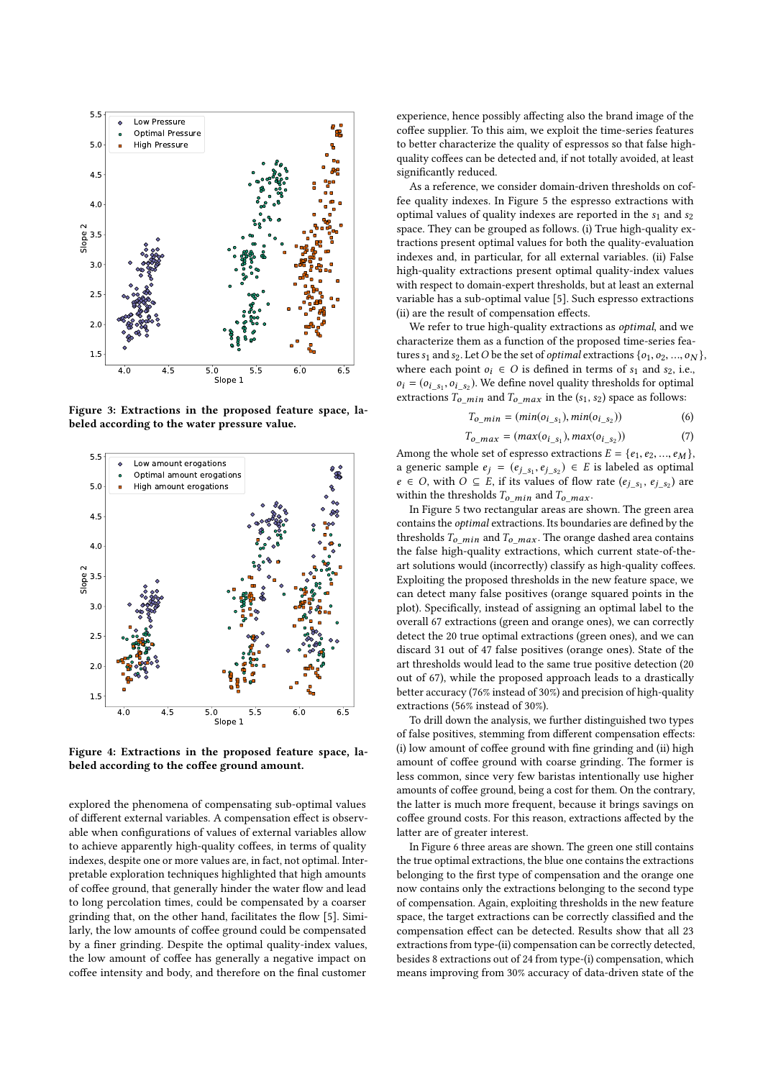<span id="page-4-0"></span>

Figure 3: Extractions in the proposed feature space, labeled according to the water pressure value.

<span id="page-4-1"></span>

Figure 4: Extractions in the proposed feature space, labeled according to the coffee ground amount.

explored the phenomena of compensating sub-optimal values of different external variables. A compensation effect is observable when configurations of values of external variables allow to achieve apparently high-quality coffees, in terms of quality indexes, despite one or more values are, in fact, not optimal. Interpretable exploration techniques highlighted that high amounts of coffee ground, that generally hinder the water flow and lead to long percolation times, could be compensated by a coarser grinding that, on the other hand, facilitates the flow [\[5\]](#page-5-11). Similarly, the low amounts of coffee ground could be compensated by a finer grinding. Despite the optimal quality-index values, the low amount of coffee has generally a negative impact on coffee intensity and body, and therefore on the final customer

experience, hence possibly affecting also the brand image of the coffee supplier. To this aim, we exploit the time-series features to better characterize the quality of espressos so that false highquality coffees can be detected and, if not totally avoided, at least significantly reduced.

As a reference, we consider domain-driven thresholds on coffee quality indexes. In Figure [5](#page-5-19) the espresso extractions with optimal values of quality indexes are reported in the  $s_1$  and  $s_2$ space. They can be grouped as follows. (i) True high-quality extractions present optimal values for both the quality-evaluation indexes and, in particular, for all external variables. (ii) False high-quality extractions present optimal quality-index values with respect to domain-expert thresholds, but at least an external variable has a sub-optimal value [\[5\]](#page-5-11). Such espresso extractions (ii) are the result of compensation effects.

We refer to true high-quality extractions as optimal, and we characterize them as a function of the proposed time-series features  $s_1$  and  $s_2$ . Let O be the set of *optimal* extractions  $\{o_1, o_2, ..., o_N\}$ , where each point  $o_i \in O$  is defined in terms of  $s_1$  and  $s_2$ , i.e.,  $o_i = (o_{i_s}, o_{i_s})$ . We define novel quality thresholds for optimal<br>extractions  $T$  and  $T$  in the  $(c_s, c_s)$  space as follows: extractions  $T_{o\_min}$  and  $T_{o\_max}$  in the (s<sub>1</sub>, s<sub>2</sub>) space as follows:

$$
T_{o\_min} = (min(o_{i\_s_1}), min(o_{i\_s_2}))
$$
\n(6)

$$
T_{o\_max} = (max(o_{i\_s_1}), max(o_{i\_s_2}))
$$
\n(7)

Among the whole set of espresso extractions  $E = \{e_1, e_2, ..., e_M\}$ ,<br>a generic sample  $e_i = (e_i, e_2, ...) \in E$  is labeled as optimal a generic sample  $e_j = (e_{j_s}, e_{j_s}) \in E$  is labeled as optimal<br> $e_i \in O$  with  $O \subseteq E$  if its values of flow rate  $(e_i, e_j)$  are a generic sample  $e_j = (e_{j_s_1}, e_{j_s_2}) \in E$  is labeled as optimal  $e \in O$ , with  $O \subseteq E$ , if its values of flow rate  $(e_{j_s_1}, e_{j_s_2})$  are within the thresholds  $T$  and  $T$ within the thresholds  $T_o$ <sub>min</sub> and  $T_o$ <sub>max</sub>.

In Figure [5](#page-5-19) two rectangular areas are shown. The green area contains the optimal extractions. Its boundaries are defined by the thresholds  $T_{o\_min}$  and  $T_{o\_max}$ . The orange dashed area contains the false high-quality extractions, which current state-of-theart solutions would (incorrectly) classify as high-quality coffees. Exploiting the proposed thresholds in the new feature space, we can detect many false positives (orange squared points in the plot). Specifically, instead of assigning an optimal label to the overall 67 extractions (green and orange ones), we can correctly detect the 20 true optimal extractions (green ones), and we can discard 31 out of 47 false positives (orange ones). State of the art thresholds would lead to the same true positive detection (20 out of 67), while the proposed approach leads to a drastically better accuracy (76% instead of 30%) and precision of high-quality extractions (56% instead of 30%).

To drill down the analysis, we further distinguished two types of false positives, stemming from different compensation effects: (i) low amount of coffee ground with fine grinding and (ii) high amount of coffee ground with coarse grinding. The former is less common, since very few baristas intentionally use higher amounts of coffee ground, being a cost for them. On the contrary, the latter is much more frequent, because it brings savings on coffee ground costs. For this reason, extractions affected by the latter are of greater interest.

In Figure [6](#page-5-20) three areas are shown. The green one still contains the true optimal extractions, the blue one contains the extractions belonging to the first type of compensation and the orange one now contains only the extractions belonging to the second type of compensation. Again, exploiting thresholds in the new feature space, the target extractions can be correctly classified and the compensation effect can be detected. Results show that all 23 extractions from type-(ii) compensation can be correctly detected, besides 8 extractions out of 24 from type-(i) compensation, which means improving from 30% accuracy of data-driven state of the